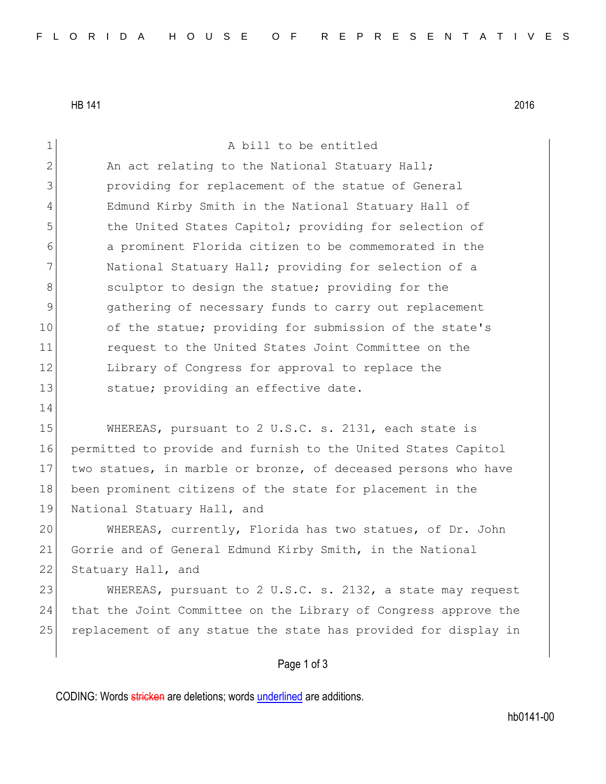HB 141 2016

| $\mathbf 1$   | A bill to be entitled                                           |
|---------------|-----------------------------------------------------------------|
| $\mathbf{2}$  | An act relating to the National Statuary Hall;                  |
| 3             | providing for replacement of the statue of General              |
| 4             | Edmund Kirby Smith in the National Statuary Hall of             |
| 5             | the United States Capitol; providing for selection of           |
| 6             | a prominent Florida citizen to be commemorated in the           |
| 7             | National Statuary Hall; providing for selection of a            |
| 8             | sculptor to design the statue; providing for the                |
| $\mathcal{G}$ | gathering of necessary funds to carry out replacement           |
| 10            | of the statue; providing for submission of the state's          |
| 11            | request to the United States Joint Committee on the             |
| 12            | Library of Congress for approval to replace the                 |
| 13            | statue; providing an effective date.                            |
| 14            |                                                                 |
| 15            | WHEREAS, pursuant to 2 U.S.C. s. 2131, each state is            |
| 16            | permitted to provide and furnish to the United States Capitol   |
| 17            | two statues, in marble or bronze, of deceased persons who have  |
| 18            | been prominent citizens of the state for placement in the       |
| 19            | National Statuary Hall, and                                     |
| 20            | WHEREAS, currently, Florida has two statues, of Dr. John        |
| 21            | Gorrie and of General Edmund Kirby Smith, in the National       |
| 22            | Statuary Hall, and                                              |
| 23            | WHEREAS, pursuant to 2 U.S.C. s. 2132, a state may request      |
| 24            | that the Joint Committee on the Library of Congress approve the |
| 25            | replacement of any statue the state has provided for display in |
|               |                                                                 |
|               | Page 1 of 3                                                     |

CODING: Words stricken are deletions; words underlined are additions.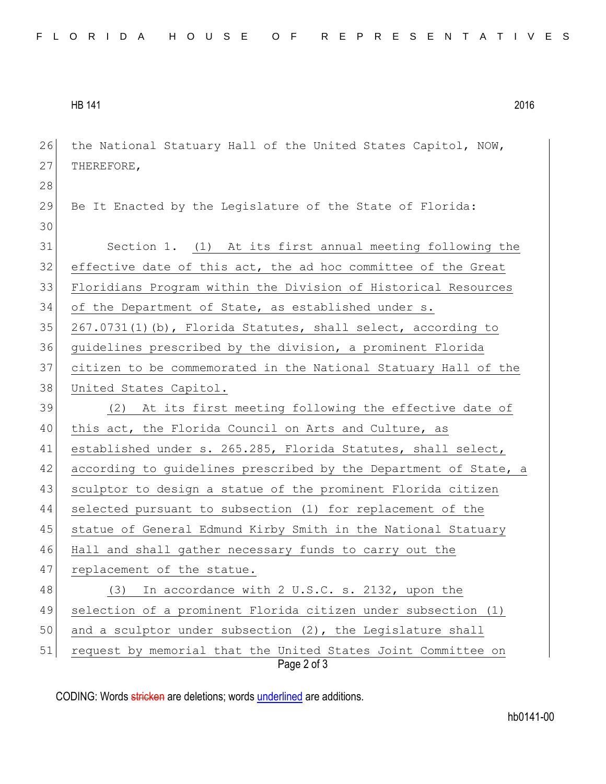HB 141 2016

| 26 | the National Statuary Hall of the United States Capitol, NOW,                |
|----|------------------------------------------------------------------------------|
| 27 | THEREFORE,                                                                   |
| 28 |                                                                              |
| 29 | Be It Enacted by the Legislature of the State of Florida:                    |
| 30 |                                                                              |
| 31 | Section 1. (1) At its first annual meeting following the                     |
| 32 | effective date of this act, the ad hoc committee of the Great                |
| 33 | Floridians Program within the Division of Historical Resources               |
| 34 | of the Department of State, as established under s.                          |
| 35 | 267.0731(1)(b), Florida Statutes, shall select, according to                 |
| 36 | guidelines prescribed by the division, a prominent Florida                   |
| 37 | citizen to be commemorated in the National Statuary Hall of the              |
| 38 | United States Capitol.                                                       |
| 39 | (2) At its first meeting following the effective date of                     |
| 40 | this act, the Florida Council on Arts and Culture, as                        |
| 41 | established under s. 265.285, Florida Statutes, shall select,                |
| 42 | according to guidelines prescribed by the Department of State, a             |
| 43 | sculptor to design a statue of the prominent Florida citizen                 |
| 44 | selected pursuant to subsection (1) for replacement of the                   |
| 45 | statue of General Edmund Kirby Smith in the National Statuary                |
| 46 | Hall and shall gather necessary funds to carry out the                       |
| 47 | replacement of the statue.                                                   |
| 48 | In accordance with 2 U.S.C. s. 2132, upon the<br>(3)                         |
| 49 | selection of a prominent Florida citizen under subsection (1)                |
| 50 | and a sculptor under subsection (2), the Legislature shall                   |
| 51 | request by memorial that the United States Joint Committee on<br>Page 2 of 3 |

CODING: Words stricken are deletions; words underlined are additions.